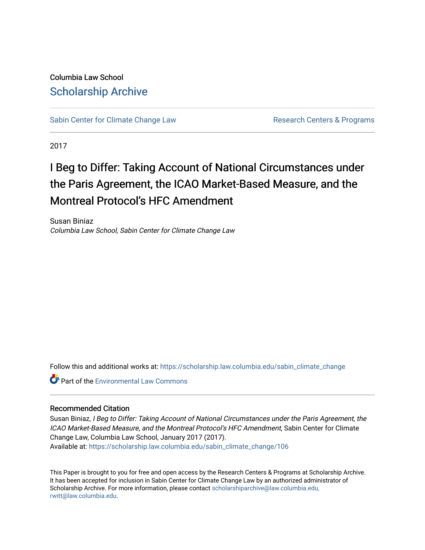Columbia Law School [Scholarship Archive](https://scholarship.law.columbia.edu/) 

[Sabin Center for Climate Change Law](https://scholarship.law.columbia.edu/sabin_climate_change) Research Centers & Programs

2017

# I Beg to Differ: Taking Account of National Circumstances under the Paris Agreement, the ICAO Market-Based Measure, and the Montreal Protocol's HFC Amendment

Susan Biniaz Columbia Law School, Sabin Center for Climate Change Law

Follow this and additional works at: [https://scholarship.law.columbia.edu/sabin\\_climate\\_change](https://scholarship.law.columbia.edu/sabin_climate_change?utm_source=scholarship.law.columbia.edu%2Fsabin_climate_change%2F106&utm_medium=PDF&utm_campaign=PDFCoverPages) 

**Part of the [Environmental Law Commons](http://network.bepress.com/hgg/discipline/599?utm_source=scholarship.law.columbia.edu%2Fsabin_climate_change%2F106&utm_medium=PDF&utm_campaign=PDFCoverPages)** 

#### Recommended Citation

Susan Biniaz, I Beg to Differ: Taking Account of National Circumstances under the Paris Agreement, the ICAO Market-Based Measure, and the Montreal Protocol's HFC Amendment, Sabin Center for Climate Change Law, Columbia Law School, January 2017 (2017). Available at: [https://scholarship.law.columbia.edu/sabin\\_climate\\_change/106](https://scholarship.law.columbia.edu/sabin_climate_change/106?utm_source=scholarship.law.columbia.edu%2Fsabin_climate_change%2F106&utm_medium=PDF&utm_campaign=PDFCoverPages) 

This Paper is brought to you for free and open access by the Research Centers & Programs at Scholarship Archive. It has been accepted for inclusion in Sabin Center for Climate Change Law by an authorized administrator of Scholarship Archive. For more information, please contact [scholarshiparchive@law.columbia.edu,](mailto:scholarshiparchive@law.columbia.edu,%20rwitt@law.columbia.edu) [rwitt@law.columbia.edu.](mailto:scholarshiparchive@law.columbia.edu,%20rwitt@law.columbia.edu)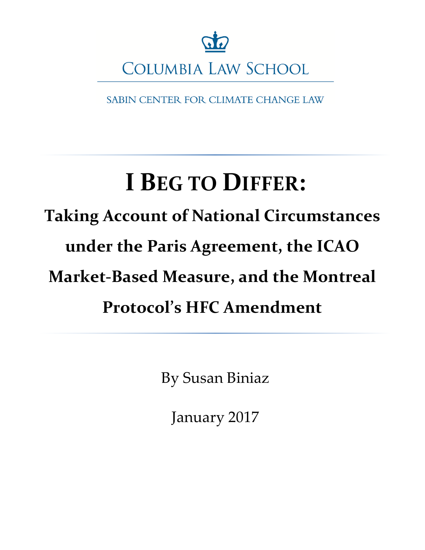

SABIN CENTER FOR CLIMATE CHANGE LAW

# **I BEG TO DIFFER:**

# **Taking Account of National Circumstances under the Paris Agreement, the ICAO Market-Based Measure, and the Montreal Protocol's HFC Amendment**

By Susan Biniaz

January 2017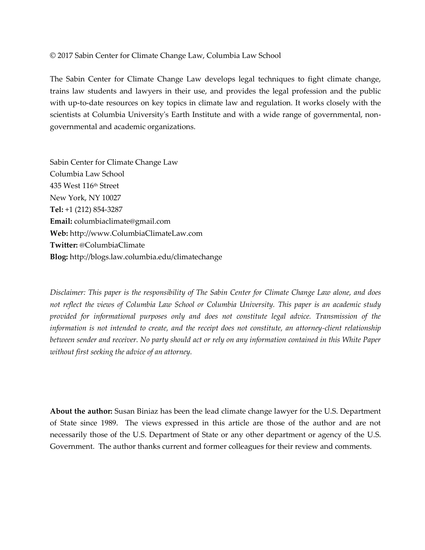© 2017 Sabin Center for Climate Change Law, Columbia Law School

The Sabin Center for Climate Change Law develops legal techniques to fight climate change, trains law students and lawyers in their use, and provides the legal profession and the public with up-to-date resources on key topics in climate law and regulation. It works closely with the scientists at Columbia University's Earth Institute and with a wide range of governmental, nongovernmental and academic organizations.

Sabin Center for Climate Change Law Columbia Law School 435 West 116th Street New York, NY 10027 **Tel:** +1 (212) 854-3287 **Email:** columbiaclimate@gmail.com **Web:** http://www.ColumbiaClimateLaw.com **Twitter:** @ColumbiaClimate **Blog:** http://blogs.law.columbia.edu/climatechange

*Disclaimer: This paper is the responsibility of The Sabin Center for Climate Change Law alone, and does not reflect the views of Columbia Law School or Columbia University. This paper is an academic study provided for informational purposes only and does not constitute legal advice. Transmission of the information is not intended to create, and the receipt does not constitute, an attorney-client relationship between sender and receiver. No party should act or rely on any information contained in this White Paper without first seeking the advice of an attorney.* 

**About the author:** Susan Biniaz has been the lead climate change lawyer for the U.S. Department of State since 1989. The views expressed in this article are those of the author and are not necessarily those of the U.S. Department of State or any other department or agency of the U.S. Government. The author thanks current and former colleagues for their review and comments.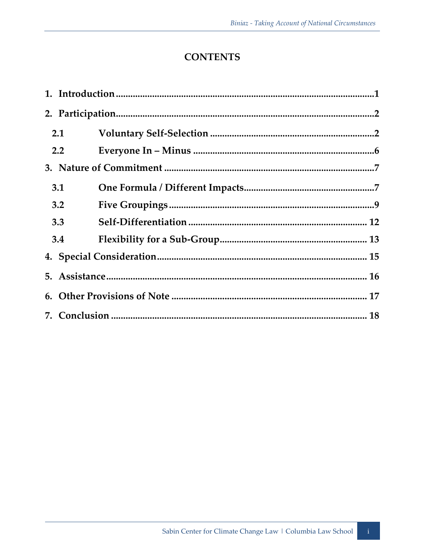# **CONTENTS**

| 2.1              |  |  |
|------------------|--|--|
| $2.2\phantom{0}$ |  |  |
|                  |  |  |
| 3.1              |  |  |
| 3.2              |  |  |
| 3.3              |  |  |
| 3.4              |  |  |
|                  |  |  |
|                  |  |  |
|                  |  |  |
|                  |  |  |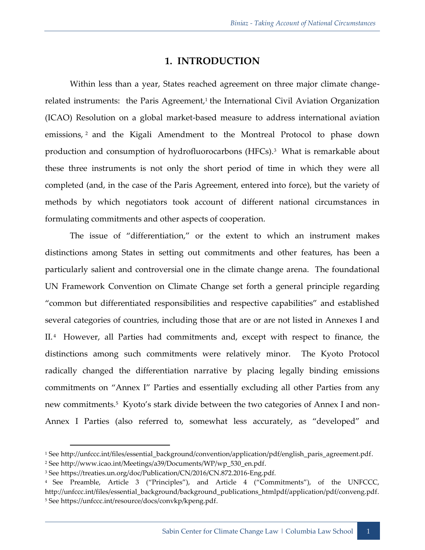#### **1. INTRODUCTION**

<span id="page-4-0"></span>Within less than a year, States reached agreement on three major climate changerelated instruments: the Paris Agreement,<sup>1</sup> the International Civil Aviation Organization (ICAO) Resolution on a global market-based measure to address international aviation emissions, <sup>2</sup> and the Kigali Amendment to the Montreal Protocol to phase down production and consumption of hydrofluorocarbons (HFCs).<sup>3</sup> What is remarkable about these three instruments is not only the short period of time in which they were all completed (and, in the case of the Paris Agreement, entered into force), but the variety of methods by which negotiators took account of different national circumstances in formulating commitments and other aspects of cooperation.

The issue of "differentiation," or the extent to which an instrument makes distinctions among States in setting out commitments and other features, has been a particularly salient and controversial one in the climate change arena. The foundational UN Framework Convention on Climate Change set forth a general principle regarding "common but differentiated responsibilities and respective capabilities" and established several categories of countries, including those that are or are not listed in Annexes I and II. <sup>4</sup> However, all Parties had commitments and, except with respect to finance, the distinctions among such commitments were relatively minor. The Kyoto Protocol radically changed the differentiation narrative by placing legally binding emissions commitments on "Annex I" Parties and essentially excluding all other Parties from any new commitments.<sup>5</sup> Kyoto's stark divide between the two categories of Annex I and non-Annex I Parties (also referred to, somewhat less accurately, as "developed" and

<sup>1</sup> See http://unfccc.int/files/essential\_background/convention/application/pdf/english\_paris\_agreement.pdf.

<sup>2</sup> See http://www.icao.int/Meetings/a39/Documents/WP/wp\_530\_en.pdf.

<sup>&</sup>lt;sup>3</sup> See https://treaties.un.org/doc/Publication/CN/2016/CN.872.2016-Eng.pdf.

<sup>4</sup> See Preamble, Article 3 ("Principles"), and Article 4 ("Commitments"), of the UNFCCC, http://unfccc.int/files/essential\_background/background\_publications\_htmlpdf/application/pdf/conveng.pdf. <sup>5</sup> See https://unfccc.int/resource/docs/convkp/kpeng.pdf.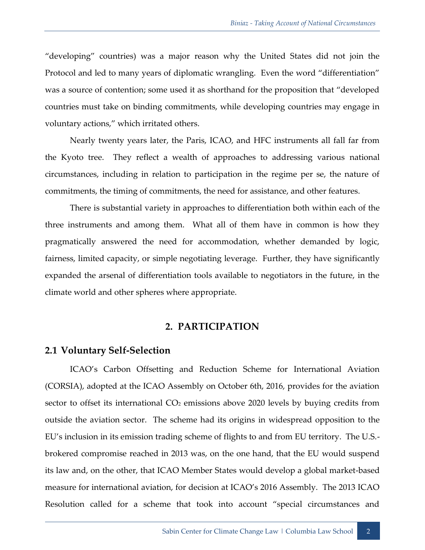"developing" countries) was a major reason why the United States did not join the Protocol and led to many years of diplomatic wrangling. Even the word "differentiation" was a source of contention; some used it as shorthand for the proposition that "developed countries must take on binding commitments, while developing countries may engage in voluntary actions," which irritated others.

Nearly twenty years later, the Paris, ICAO, and HFC instruments all fall far from the Kyoto tree. They reflect a wealth of approaches to addressing various national circumstances, including in relation to participation in the regime per se, the nature of commitments, the timing of commitments, the need for assistance, and other features.

There is substantial variety in approaches to differentiation both within each of the three instruments and among them. What all of them have in common is how they pragmatically answered the need for accommodation, whether demanded by logic, fairness, limited capacity, or simple negotiating leverage. Further, they have significantly expanded the arsenal of differentiation tools available to negotiators in the future, in the climate world and other spheres where appropriate.

#### **2. PARTICIPATION**

#### <span id="page-5-1"></span><span id="page-5-0"></span>**2.1 Voluntary Self-Selection**

ICAO's Carbon Offsetting and Reduction Scheme for International Aviation (CORSIA), adopted at the ICAO Assembly on October 6th, 2016, provides for the aviation sector to offset its international  $CO<sub>2</sub>$  emissions above 2020 levels by buying credits from outside the aviation sector. The scheme had its origins in widespread opposition to the EU's inclusion in its emission trading scheme of flights to and from EU territory. The U.S. brokered compromise reached in 2013 was, on the one hand, that the EU would suspend its law and, on the other, that ICAO Member States would develop a global market-based measure for international aviation, for decision at ICAO's 2016 Assembly. The 2013 ICAO Resolution called for a scheme that took into account "special circumstances and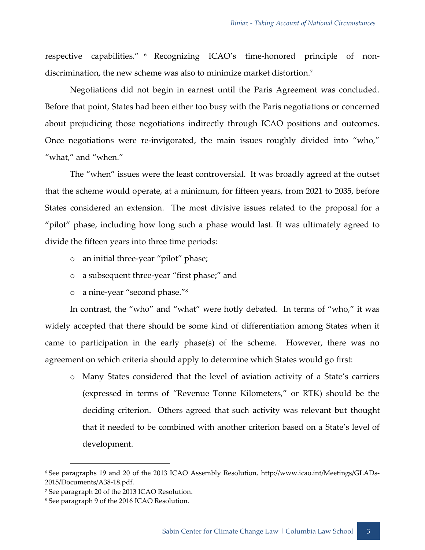respective capabilities." <sup>6</sup> Recognizing ICAO's time-honored principle of nondiscrimination, the new scheme was also to minimize market distortion.<sup>7</sup>

Negotiations did not begin in earnest until the Paris Agreement was concluded. Before that point, States had been either too busy with the Paris negotiations or concerned about prejudicing those negotiations indirectly through ICAO positions and outcomes. Once negotiations were re-invigorated, the main issues roughly divided into "who," "what," and "when."

The "when" issues were the least controversial. It was broadly agreed at the outset that the scheme would operate, at a minimum, for fifteen years, from 2021 to 2035, before States considered an extension. The most divisive issues related to the proposal for a "pilot" phase, including how long such a phase would last. It was ultimately agreed to divide the fifteen years into three time periods:

- o an initial three-year "pilot" phase;
- o a subsequent three-year "first phase;" and
- o a nine-year "second phase."<sup>8</sup>

In contrast, the "who" and "what" were hotly debated. In terms of "who," it was widely accepted that there should be some kind of differentiation among States when it came to participation in the early phase(s) of the scheme. However, there was no agreement on which criteria should apply to determine which States would go first:

o Many States considered that the level of aviation activity of a State's carriers (expressed in terms of "Revenue Tonne Kilometers," or RTK) should be the deciding criterion. Others agreed that such activity was relevant but thought that it needed to be combined with another criterion based on a State's level of development.

<sup>6</sup> See paragraphs 19 and 20 of the 2013 ICAO Assembly Resolution, http://www.icao.int/Meetings/GLADs-2015/Documents/A38-18.pdf.

<sup>7</sup> See paragraph 20 of the 2013 ICAO Resolution.

<sup>8</sup> See paragraph 9 of the 2016 ICAO Resolution.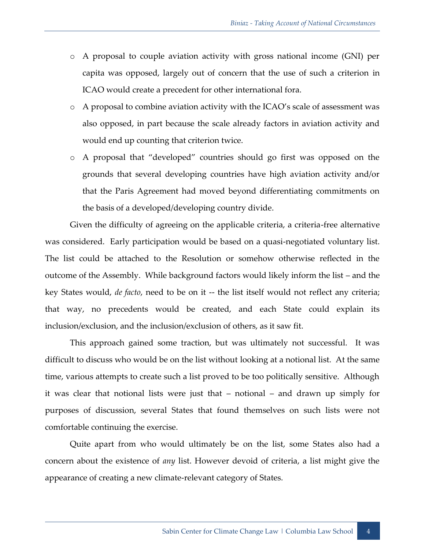- o A proposal to couple aviation activity with gross national income (GNI) per capita was opposed, largely out of concern that the use of such a criterion in ICAO would create a precedent for other international fora.
- o A proposal to combine aviation activity with the ICAO's scale of assessment was also opposed, in part because the scale already factors in aviation activity and would end up counting that criterion twice.
- o A proposal that "developed" countries should go first was opposed on the grounds that several developing countries have high aviation activity and/or that the Paris Agreement had moved beyond differentiating commitments on the basis of a developed/developing country divide.

Given the difficulty of agreeing on the applicable criteria, a criteria-free alternative was considered. Early participation would be based on a quasi-negotiated voluntary list. The list could be attached to the Resolution or somehow otherwise reflected in the outcome of the Assembly. While background factors would likely inform the list – and the key States would, *de facto*, need to be on it -- the list itself would not reflect any criteria; that way, no precedents would be created, and each State could explain its inclusion/exclusion, and the inclusion/exclusion of others, as it saw fit.

This approach gained some traction, but was ultimately not successful. It was difficult to discuss who would be on the list without looking at a notional list. At the same time, various attempts to create such a list proved to be too politically sensitive. Although it was clear that notional lists were just that – notional – and drawn up simply for purposes of discussion, several States that found themselves on such lists were not comfortable continuing the exercise.

Quite apart from who would ultimately be on the list, some States also had a concern about the existence of *any* list. However devoid of criteria, a list might give the appearance of creating a new climate-relevant category of States.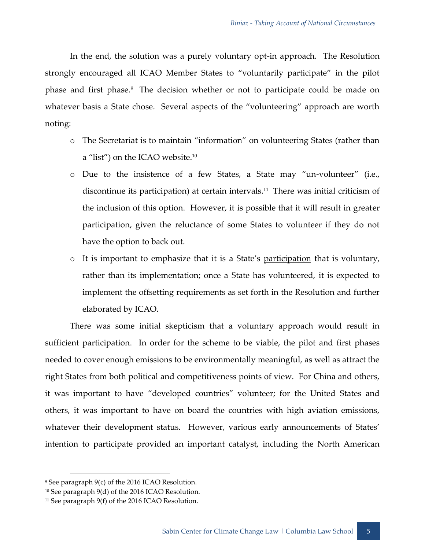In the end, the solution was a purely voluntary opt-in approach. The Resolution strongly encouraged all ICAO Member States to "voluntarily participate" in the pilot phase and first phase.<sup>9</sup> The decision whether or not to participate could be made on whatever basis a State chose. Several aspects of the "volunteering" approach are worth noting:

- o The Secretariat is to maintain "information" on volunteering States (rather than a "list") on the ICAO website.<sup>10</sup>
- o Due to the insistence of a few States, a State may "un-volunteer" (i.e., discontinue its participation) at certain intervals.<sup>11</sup> There was initial criticism of the inclusion of this option. However, it is possible that it will result in greater participation, given the reluctance of some States to volunteer if they do not have the option to back out.
- o It is important to emphasize that it is a State's participation that is voluntary, rather than its implementation; once a State has volunteered, it is expected to implement the offsetting requirements as set forth in the Resolution and further elaborated by ICAO.

There was some initial skepticism that a voluntary approach would result in sufficient participation. In order for the scheme to be viable, the pilot and first phases needed to cover enough emissions to be environmentally meaningful, as well as attract the right States from both political and competitiveness points of view. For China and others, it was important to have "developed countries" volunteer; for the United States and others, it was important to have on board the countries with high aviation emissions, whatever their development status. However, various early announcements of States' intention to participate provided an important catalyst, including the North American

<sup>9</sup> See paragraph 9(c) of the 2016 ICAO Resolution.

<sup>&</sup>lt;sup>10</sup> See paragraph 9(d) of the 2016 ICAO Resolution.

<sup>&</sup>lt;sup>11</sup> See paragraph 9(f) of the 2016 ICAO Resolution.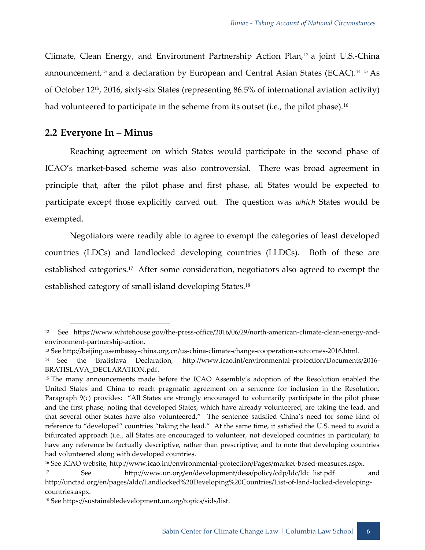Climate, Clean Energy, and Environment Partnership Action Plan,<sup>12</sup> a joint U.S.-China announcement,<sup>13</sup> and a declaration by European and Central Asian States (ECAC).<sup>14 15</sup> As of October  $12<sup>th</sup>$ , 2016, sixty-six States (representing 86.5% of international aviation activity) had volunteered to participate in the scheme from its outset (i.e., the pilot phase). $^{\rm 16}$ 

#### <span id="page-9-0"></span>**2.2 Everyone In – Minus**

Reaching agreement on which States would participate in the second phase of ICAO's market-based scheme was also controversial. There was broad agreement in principle that, after the pilot phase and first phase, all States would be expected to participate except those explicitly carved out. The question was *which* States would be exempted.

Negotiators were readily able to agree to exempt the categories of least developed countries (LDCs) and landlocked developing countries (LLDCs). Both of these are established categories.<sup>17</sup> After some consideration, negotiators also agreed to exempt the established category of small island developing States.<sup>18</sup>

<sup>16</sup> See ICAO website, http://www.icao.int/environmental-protection/Pages/market-based-measures.aspx.

<sup>12</sup> See https://www.whitehouse.gov/the-press-office/2016/06/29/north-american-climate-clean-energy-andenvironment-partnership-action.

<sup>13</sup> See http://beijing.usembassy-china.org.cn/us-china-climate-change-cooperation-outcomes-2016.html.

<sup>14</sup> See the Bratislava Declaration, http://www.icao.int/environmental-protection/Documents/2016- BRATISLAVA\_DECLARATION.pdf.

<sup>&</sup>lt;sup>15</sup> The many announcements made before the ICAO Assembly's adoption of the Resolution enabled the United States and China to reach pragmatic agreement on a sentence for inclusion in the Resolution. Paragraph 9(c) provides: "All States are strongly encouraged to voluntarily participate in the pilot phase and the first phase, noting that developed States, which have already volunteered, are taking the lead, and that several other States have also volunteered." The sentence satisfied China's need for some kind of reference to "developed" countries "taking the lead." At the same time, it satisfied the U.S. need to avoid a bifurcated approach (i.e., all States are encouraged to volunteer, not developed countries in particular); to have any reference be factually descriptive, rather than prescriptive; and to note that developing countries had volunteered along with developed countries.

<sup>17</sup> See [http://www.un.org/en/development/desa/policy/cdp/ldc/ldc\\_list.pdf](http://www.un.org/en/development/desa/policy/cdp/ldc/ldc_list.pdf) and

[http://unctad.org/en/pages/aldc/Landlocked%20Developing%20Countries/List-of-land-locked-developing](http://unctad.org/en/pages/aldc/Landlocked%20Developing%20Countries/List-of-land-locked-developing-countries.aspx)[countries.aspx.](http://unctad.org/en/pages/aldc/Landlocked%20Developing%20Countries/List-of-land-locked-developing-countries.aspx)

<sup>18</sup> Se[e https://sustainabledevelopment.un.org/topics/sids/list.](https://sustainabledevelopment.un.org/topics/sids/list)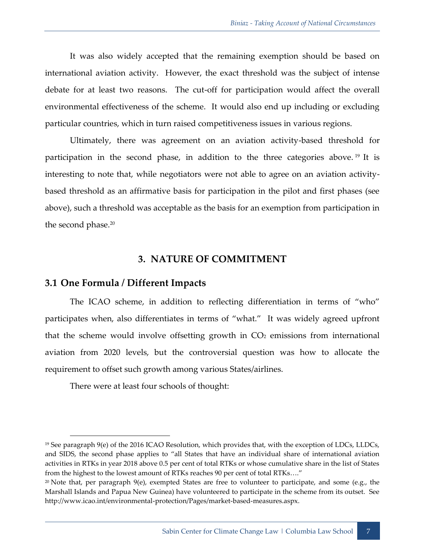It was also widely accepted that the remaining exemption should be based on international aviation activity. However, the exact threshold was the subject of intense debate for at least two reasons. The cut-off for participation would affect the overall environmental effectiveness of the scheme. It would also end up including or excluding particular countries, which in turn raised competitiveness issues in various regions.

Ultimately, there was agreement on an aviation activity-based threshold for participation in the second phase, in addition to the three categories above.<sup>19</sup> It is interesting to note that, while negotiators were not able to agree on an aviation activitybased threshold as an affirmative basis for participation in the pilot and first phases (see above), such a threshold was acceptable as the basis for an exemption from participation in the second phase.<sup>20</sup>

#### **3. NATURE OF COMMITMENT**

#### <span id="page-10-1"></span><span id="page-10-0"></span>**3.1 One Formula / Different Impacts**

The ICAO scheme, in addition to reflecting differentiation in terms of "who" participates when, also differentiates in terms of "what." It was widely agreed upfront that the scheme would involve offsetting growth in  $CO<sub>2</sub>$  emissions from international aviation from 2020 levels, but the controversial question was how to allocate the requirement to offset such growth among various States/airlines.

There were at least four schools of thought:

 $19$  See paragraph  $9(e)$  of the 2016 ICAO Resolution, which provides that, with the exception of LDCs, LLDCs, and SIDS, the second phase applies to "all States that have an individual share of international aviation activities in RTKs in year 2018 above 0.5 per cent of total RTKs or whose cumulative share in the list of States from the highest to the lowest amount of RTKs reaches 90 per cent of total RTKs…."

<sup>&</sup>lt;sup>20</sup> Note that, per paragraph  $9(e)$ , exempted States are free to volunteer to participate, and some (e.g., the Marshall Islands and Papua New Guinea) have volunteered to participate in the scheme from its outset. See http://www.icao.int/environmental-protection/Pages/market-based-measures.aspx.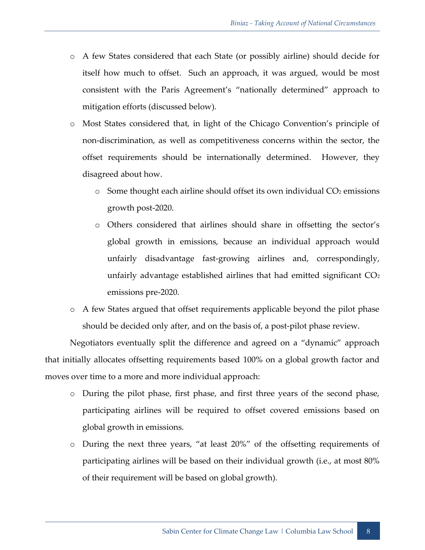- o A few States considered that each State (or possibly airline) should decide for itself how much to offset. Such an approach, it was argued, would be most consistent with the Paris Agreement's "nationally determined" approach to mitigation efforts (discussed below).
- o Most States considered that, in light of the Chicago Convention's principle of non-discrimination, as well as competitiveness concerns within the sector, the offset requirements should be internationally determined. However, they disagreed about how.
	- $\circ$  Some thought each airline should offset its own individual CO<sub>2</sub> emissions growth post-2020.
	- o Others considered that airlines should share in offsetting the sector's global growth in emissions, because an individual approach would unfairly disadvantage fast-growing airlines and, correspondingly, unfairly advantage established airlines that had emitted significant  $CO<sub>2</sub>$ emissions pre-2020.
- o A few States argued that offset requirements applicable beyond the pilot phase should be decided only after, and on the basis of, a post-pilot phase review.

Negotiators eventually split the difference and agreed on a "dynamic" approach that initially allocates offsetting requirements based 100% on a global growth factor and moves over time to a more and more individual approach:

- o During the pilot phase, first phase, and first three years of the second phase, participating airlines will be required to offset covered emissions based on global growth in emissions.
- o During the next three years, "at least 20%" of the offsetting requirements of participating airlines will be based on their individual growth (i.e., at most 80% of their requirement will be based on global growth).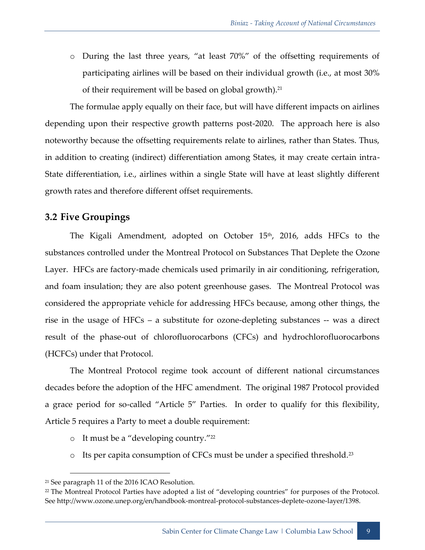o During the last three years, "at least 70%" of the offsetting requirements of participating airlines will be based on their individual growth (i.e., at most 30% of their requirement will be based on global growth).<sup>21</sup>

The formulae apply equally on their face, but will have different impacts on airlines depending upon their respective growth patterns post-2020. The approach here is also noteworthy because the offsetting requirements relate to airlines, rather than States. Thus, in addition to creating (indirect) differentiation among States, it may create certain intra-State differentiation, i.e., airlines within a single State will have at least slightly different growth rates and therefore different offset requirements.

# <span id="page-12-0"></span>**3.2 Five Groupings**

The Kigali Amendment, adopted on October 15<sup>th</sup>, 2016, adds HFCs to the substances controlled under the Montreal Protocol on Substances That Deplete the Ozone Layer. HFCs are factory-made chemicals used primarily in air conditioning, refrigeration, and foam insulation; they are also potent greenhouse gases. The Montreal Protocol was considered the appropriate vehicle for addressing HFCs because, among other things, the rise in the usage of HFCs – a substitute for ozone-depleting substances -- was a direct result of the phase-out of chlorofluorocarbons (CFCs) and hydrochlorofluorocarbons (HCFCs) under that Protocol.

The Montreal Protocol regime took account of different national circumstances decades before the adoption of the HFC amendment. The original 1987 Protocol provided a grace period for so-called "Article 5" Parties. In order to qualify for this flexibility, Article 5 requires a Party to meet a double requirement:

- o It must be a "developing country."<sup>22</sup>
- o Its per capita consumption of CFCs must be under a specified threshold.<sup>23</sup>

<sup>21</sup> See paragraph 11 of the 2016 ICAO Resolution.

<sup>22</sup> The Montreal Protocol Parties have adopted a list of "developing countries" for purposes of the Protocol. See http://www.ozone.unep.org/en/handbook-montreal-protocol-substances-deplete-ozone-layer/1398.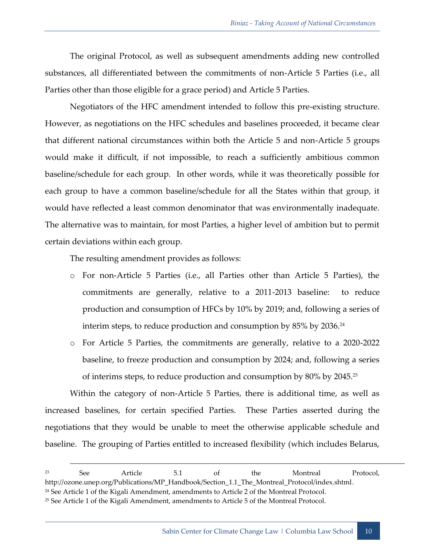The original Protocol, as well as subsequent amendments adding new controlled substances, all differentiated between the commitments of non-Article 5 Parties (i.e., all Parties other than those eligible for a grace period) and Article 5 Parties.

Negotiators of the HFC amendment intended to follow this pre-existing structure. However, as negotiations on the HFC schedules and baselines proceeded, it became clear that different national circumstances within both the Article 5 and non-Article 5 groups would make it difficult, if not impossible, to reach a sufficiently ambitious common baseline/schedule for each group. In other words, while it was theoretically possible for each group to have a common baseline/schedule for all the States within that group, it would have reflected a least common denominator that was environmentally inadequate. The alternative was to maintain, for most Parties, a higher level of ambition but to permit certain deviations within each group.

The resulting amendment provides as follows:

- o For non-Article 5 Parties (i.e., all Parties other than Article 5 Parties), the commitments are generally, relative to a 2011-2013 baseline: to reduce production and consumption of HFCs by 10% by 2019; and, following a series of interim steps, to reduce production and consumption by 85% by 2036. $^{\rm 24}$
- o For Article 5 Parties, the commitments are generally, relative to a 2020-2022 baseline, to freeze production and consumption by 2024; and, following a series of interims steps, to reduce production and consumption by  $80\%$  by  $2045.^{25}$

Within the category of non-Article 5 Parties, there is additional time, as well as increased baselines, for certain specified Parties. These Parties asserted during the negotiations that they would be unable to meet the otherwise applicable schedule and baseline. The grouping of Parties entitled to increased flexibility (which includes Belarus,

-

<sup>23</sup> See Article 5.1 of the Montreal Protocol, http://ozone.unep.org/Publications/MP\_Handbook/Section\_1.1\_The\_Montreal\_Protocol/index.shtml. <sup>24</sup> See Article 1 of the Kigali Amendment, amendments to Article 2 of the Montreal Protocol.

<sup>25</sup> See Article 1 of the Kigali Amendment, amendments to Article 5 of the Montreal Protocol.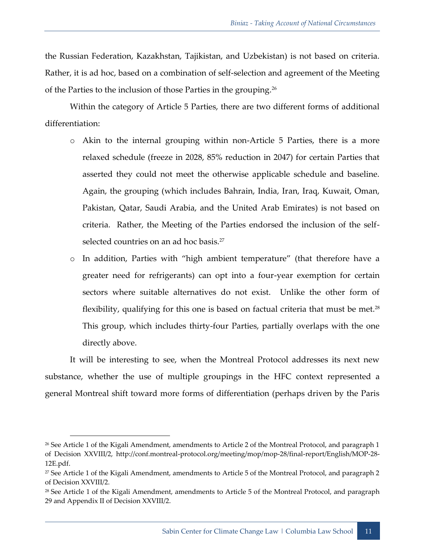the Russian Federation, Kazakhstan, Tajikistan, and Uzbekistan) is not based on criteria. Rather, it is ad hoc, based on a combination of self-selection and agreement of the Meeting of the Parties to the inclusion of those Parties in the grouping.<sup>26</sup>

Within the category of Article 5 Parties, there are two different forms of additional differentiation:

- o Akin to the internal grouping within non-Article 5 Parties, there is a more relaxed schedule (freeze in 2028, 85% reduction in 2047) for certain Parties that asserted they could not meet the otherwise applicable schedule and baseline. Again, the grouping (which includes Bahrain, India, Iran, Iraq, Kuwait, Oman, Pakistan, Qatar, Saudi Arabia, and the United Arab Emirates) is not based on criteria. Rather, the Meeting of the Parties endorsed the inclusion of the selfselected countries on an ad hoc basis.<sup>27</sup>
- o In addition, Parties with "high ambient temperature" (that therefore have a greater need for refrigerants) can opt into a four-year exemption for certain sectors where suitable alternatives do not exist. Unlike the other form of flexibility, qualifying for this one is based on factual criteria that must be met. $^{28}$ This group, which includes thirty-four Parties, partially overlaps with the one directly above.

It will be interesting to see, when the Montreal Protocol addresses its next new substance, whether the use of multiple groupings in the HFC context represented a general Montreal shift toward more forms of differentiation (perhaps driven by the Paris

<sup>26</sup> See Article 1 of the Kigali Amendment, amendments to Article 2 of the Montreal Protocol, and paragraph 1 of Decision XXVIII/2, http://conf.montreal-protocol.org/meeting/mop/mop-28/final-report/English/MOP-28- 12E.pdf.

<sup>&</sup>lt;sup>27</sup> See Article 1 of the Kigali Amendment, amendments to Article 5 of the Montreal Protocol, and paragraph 2 of Decision XXVIII/2.

<sup>&</sup>lt;sup>28</sup> See Article 1 of the Kigali Amendment, amendments to Article 5 of the Montreal Protocol, and paragraph 29 and Appendix II of Decision XXVIII/2.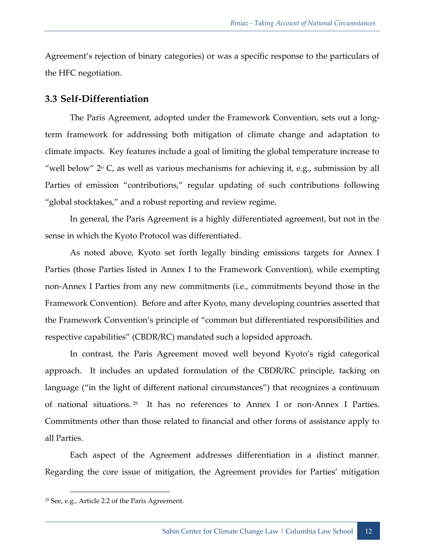Agreement's rejection of binary categories) or was a specific response to the particulars of the HFC negotiation.

#### <span id="page-15-0"></span>**3.3 Self-Differentiation**

The Paris Agreement, adopted under the Framework Convention, sets out a longterm framework for addressing both mitigation of climate change and adaptation to climate impacts. Key features include a goal of limiting the global temperature increase to "well below"  $2^{\circ}$  C, as well as various mechanisms for achieving it, e.g., submission by all Parties of emission "contributions," regular updating of such contributions following "global stocktakes," and a robust reporting and review regime.

In general, the Paris Agreement is a highly differentiated agreement, but not in the sense in which the Kyoto Protocol was differentiated.

As noted above, Kyoto set forth legally binding emissions targets for Annex I Parties (those Parties listed in Annex I to the Framework Convention), while exempting non-Annex I Parties from any new commitments (i.e., commitments beyond those in the Framework Convention). Before and after Kyoto, many developing countries asserted that the Framework Convention's principle of "common but differentiated responsibilities and respective capabilities" (CBDR/RC) mandated such a lopsided approach.

In contrast, the Paris Agreement moved well beyond Kyoto's rigid categorical approach. It includes an updated formulation of the CBDR/RC principle, tacking on language ("in the light of different national circumstances") that recognizes a continuum of national situations.<sup>29</sup> It has no references to Annex I or non-Annex I Parties. Commitments other than those related to financial and other forms of assistance apply to all Parties.

Each aspect of the Agreement addresses differentiation in a distinct manner. Regarding the core issue of mitigation, the Agreement provides for Parties' mitigation

<sup>29</sup> See, e.g., Article 2.2 of the Paris Agreement.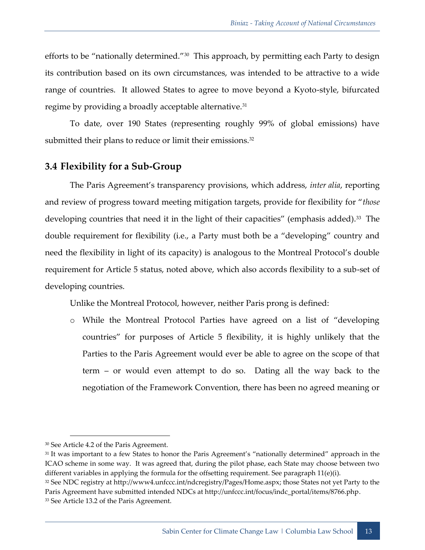efforts to be "nationally determined."<sup>30</sup> This approach, by permitting each Party to design its contribution based on its own circumstances, was intended to be attractive to a wide range of countries. It allowed States to agree to move beyond a Kyoto-style, bifurcated regime by providing a broadly acceptable alternative.<sup>31</sup>

To date, over 190 States (representing roughly 99% of global emissions) have submitted their plans to reduce or limit their emissions.<sup>32</sup>

### <span id="page-16-0"></span>**3.4 Flexibility for a Sub-Group**

The Paris Agreement's transparency provisions, which address, *inter alia*, reporting and review of progress toward meeting mitigation targets, provide for flexibility for "*those* developing countries that need it in the light of their capacities" (emphasis added).<sup>33</sup> The double requirement for flexibility (i.e., a Party must both be a "developing" country and need the flexibility in light of its capacity) is analogous to the Montreal Protocol's double requirement for Article 5 status, noted above, which also accords flexibility to a sub-set of developing countries.

Unlike the Montreal Protocol, however, neither Paris prong is defined:

o While the Montreal Protocol Parties have agreed on a list of "developing countries" for purposes of Article 5 flexibility, it is highly unlikely that the Parties to the Paris Agreement would ever be able to agree on the scope of that term – or would even attempt to do so. Dating all the way back to the negotiation of the Framework Convention, there has been no agreed meaning or

<sup>31</sup> It was important to a few States to honor the Paris Agreement's "nationally determined" approach in the ICAO scheme in some way. It was agreed that, during the pilot phase, each State may choose between two different variables in applying the formula for the offsetting requirement. See paragraph 11(e)(i).

<sup>30</sup> See Article 4.2 of the Paris Agreement.

<sup>32</sup> See NDC registry at [http://www4.unfccc.int/ndcregistry/Pages/Home.aspx;](http://www4.unfccc.int/ndcregistry/Pages/Home.aspx) those States not yet Party to the Paris Agreement have submitted intended NDCs at http://unfccc.int/focus/indc\_portal/items/8766.php. 33 See Article 13.2 of the Paris Agreement.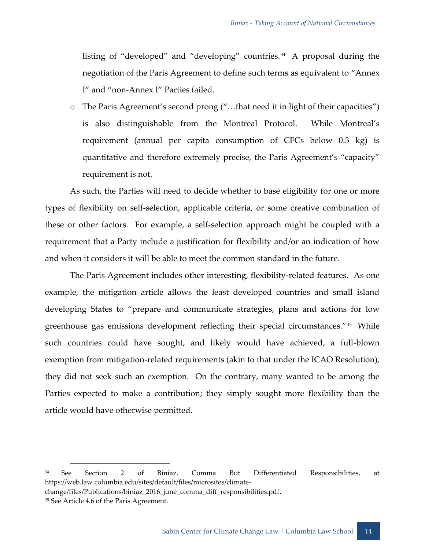listing of "developed" and "developing" countries.<sup>34</sup> A proposal during the negotiation of the Paris Agreement to define such terms as equivalent to "Annex I" and "non-Annex I" Parties failed.

o The Paris Agreement's second prong ("…that need it in light of their capacities") is also distinguishable from the Montreal Protocol. While Montreal's requirement (annual per capita consumption of CFCs below 0.3 kg) is quantitative and therefore extremely precise, the Paris Agreement's "capacity" requirement is not.

As such, the Parties will need to decide whether to base eligibility for one or more types of flexibility on self-selection, applicable criteria, or some creative combination of these or other factors. For example, a self-selection approach might be coupled with a requirement that a Party include a justification for flexibility and/or an indication of how and when it considers it will be able to meet the common standard in the future.

The Paris Agreement includes other interesting, flexibility-related features. As one example, the mitigation article allows the least developed countries and small island developing States to "prepare and communicate strategies, plans and actions for low greenhouse gas emissions development reflecting their special circumstances."<sup>35</sup> While such countries could have sought, and likely would have achieved, a full-blown exemption from mitigation-related requirements (akin to that under the ICAO Resolution), they did not seek such an exemption. On the contrary, many wanted to be among the Parties expected to make a contribution; they simply sought more flexibility than the article would have otherwise permitted.

<sup>34</sup> See Section 2 of Biniaz, Comma But Differentiated Responsibilities, at https://web.law.columbia.edu/sites/default/files/microsites/climate-

change/files/Publications/biniaz\_2016\_june\_comma\_diff\_responsibilities.pdf.

<sup>&</sup>lt;sup>35</sup> See Article 4.6 of the Paris Agreement.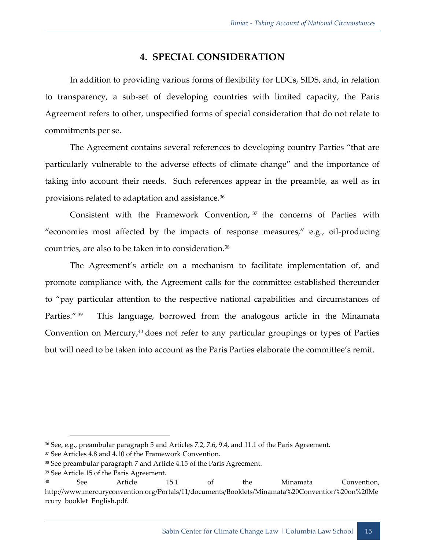## **4. SPECIAL CONSIDERATION**

<span id="page-18-0"></span>In addition to providing various forms of flexibility for LDCs, SIDS, and, in relation to transparency, a sub-set of developing countries with limited capacity, the Paris Agreement refers to other, unspecified forms of special consideration that do not relate to commitments per se.

The Agreement contains several references to developing country Parties "that are particularly vulnerable to the adverse effects of climate change" and the importance of taking into account their needs. Such references appear in the preamble, as well as in provisions related to adaptation and assistance.<sup>36</sup>

Consistent with the Framework Convention,  $37$  the concerns of Parties with "economies most affected by the impacts of response measures," e.g., oil-producing countries, are also to be taken into consideration.<sup>38</sup>

The Agreement's article on a mechanism to facilitate implementation of, and promote compliance with, the Agreement calls for the committee established thereunder to "pay particular attention to the respective national capabilities and circumstances of Parties." 39 This language, borrowed from the analogous article in the Minamata Convention on Mercury, $40$  does not refer to any particular groupings or types of Parties but will need to be taken into account as the Paris Parties elaborate the committee's remit.

<sup>36</sup> See, e.g., preambular paragraph 5 and Articles 7.2, 7.6, 9.4, and 11.1 of the Paris Agreement.

<sup>37</sup> See Articles 4.8 and 4.10 of the Framework Convention.

<sup>38</sup> See preambular paragraph 7 and Article 4.15 of the Paris Agreement.

<sup>39</sup> See Article 15 of the Paris Agreement.

<sup>40</sup> See Article 15.1 of the Minamata Convention, http://www.mercuryconvention.org/Portals/11/documents/Booklets/Minamata%20Convention%20on%20Me rcury\_booklet\_English.pdf.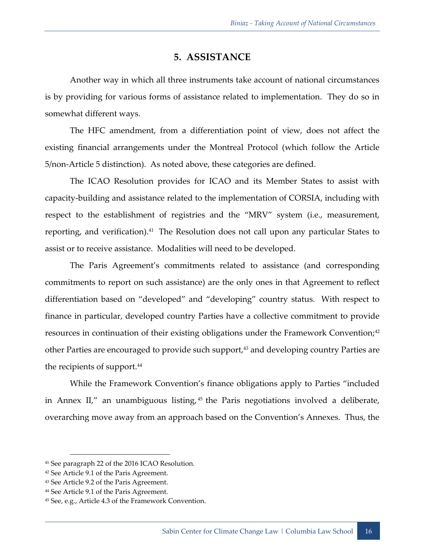### **5. ASSISTANCE**

<span id="page-19-0"></span>Another way in which all three instruments take account of national circumstances is by providing for various forms of assistance related to implementation. They do so in somewhat different ways.

The HFC amendment, from a differentiation point of view, does not affect the existing financial arrangements under the Montreal Protocol (which follow the Article 5/non-Article 5 distinction). As noted above, these categories are defined.

The ICAO Resolution provides for ICAO and its Member States to assist with capacity-building and assistance related to the implementation of CORSIA, including with respect to the establishment of registries and the "MRV" system (i.e., measurement, reporting, and verification).<sup>41</sup> The Resolution does not call upon any particular States to assist or to receive assistance. Modalities will need to be developed.

The Paris Agreement's commitments related to assistance (and corresponding commitments to report on such assistance) are the only ones in that Agreement to reflect differentiation based on "developed" and "developing" country status. With respect to finance in particular, developed country Parties have a collective commitment to provide resources in continuation of their existing obligations under the Framework Convention;<sup>42</sup> other Parties are encouraged to provide such support,<sup>43</sup> and developing country Parties are the recipients of support.<sup>44</sup>

While the Framework Convention's finance obligations apply to Parties "included in Annex II," an unambiguous listing, <sup>45</sup> the Paris negotiations involved a deliberate, overarching move away from an approach based on the Convention's Annexes. Thus, the

<sup>41</sup> See paragraph 22 of the 2016 ICAO Resolution.

<sup>42</sup> See Article 9.1 of the Paris Agreement.

<sup>43</sup> See Article 9.2 of the Paris Agreement.

<sup>44</sup> See Article 9.1 of the Paris Agreement.

<sup>45</sup> See, e.g., Article 4.3 of the Framework Convention.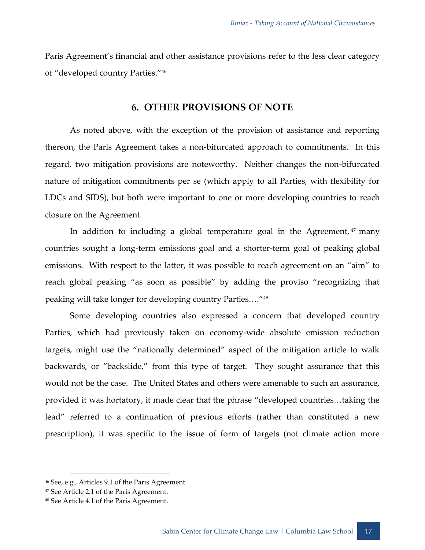<span id="page-20-0"></span>Paris Agreement's financial and other assistance provisions refer to the less clear category of "developed country Parties."<sup>46</sup>

#### **6. OTHER PROVISIONS OF NOTE**

As noted above, with the exception of the provision of assistance and reporting thereon, the Paris Agreement takes a non-bifurcated approach to commitments. In this regard, two mitigation provisions are noteworthy. Neither changes the non-bifurcated nature of mitigation commitments per se (which apply to all Parties, with flexibility for LDCs and SIDS), but both were important to one or more developing countries to reach closure on the Agreement.

In addition to including a global temperature goal in the Agreement,  $47$  many countries sought a long-term emissions goal and a shorter-term goal of peaking global emissions. With respect to the latter, it was possible to reach agreement on an "aim" to reach global peaking "as soon as possible" by adding the proviso "recognizing that peaking will take longer for developing country Parties…."<sup>48</sup>

Some developing countries also expressed a concern that developed country Parties, which had previously taken on economy-wide absolute emission reduction targets, might use the "nationally determined" aspect of the mitigation article to walk backwards, or "backslide," from this type of target. They sought assurance that this would not be the case. The United States and others were amenable to such an assurance, provided it was hortatory, it made clear that the phrase "developed countries…taking the lead" referred to a continuation of previous efforts (rather than constituted a new prescription), it was specific to the issue of form of targets (not climate action more

<sup>46</sup> See, e.g., Articles 9.1 of the Paris Agreement.

<sup>47</sup> See Article 2.1 of the Paris Agreement.

<sup>48</sup> See Article 4.1 of the Paris Agreement.